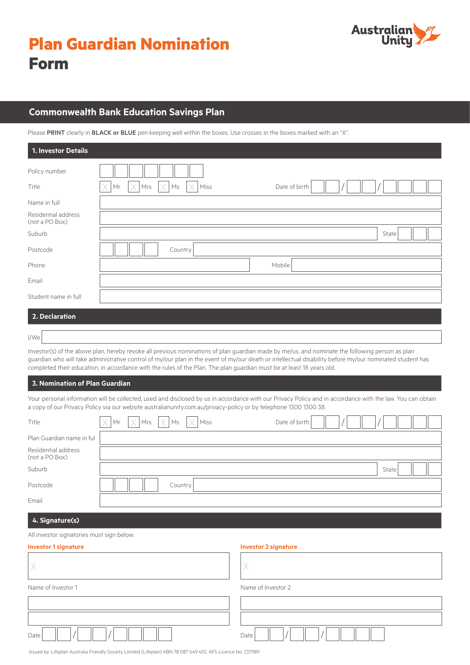

## **Commonwealth Bank Education Savings Plan**

Please PRINT clearly in BLACK or BLUE pen keeping well within the boxes. Use crosses in the boxes marked with an "X".

| 1. Investor Details                   |                                                                |
|---------------------------------------|----------------------------------------------------------------|
| Policy number                         |                                                                |
| Title                                 | $\times$<br>X<br>Mrs<br>Mr<br>Ms<br>Miss<br>V<br>Date of birth |
| Name in full                          |                                                                |
| Residential address<br>(not a PO Box) |                                                                |
| Suburb                                | State                                                          |
| Postcode                              | Country                                                        |
| Phone                                 | Mobile                                                         |
| Email                                 |                                                                |
| Student name in full                  |                                                                |
| 2 Declaration                         |                                                                |

## **2. Declaration**

I/We

Investor(s) of the above plan, hereby revoke all previous nominations of plan guardian made by me/us, and nominate the following person as plan guardian who will take administrative control of my/our plan in the event of my/our death or intellectual disability before my/our nominated student has completed their education, in accordance with the rules of the Plan. The plan guardian must be at least 18 years old.

#### **3. Nomination of Plan Guardian**

Your personal information will be collected, used and disclosed by us in accordance with our Privacy Policy and in accordance with the law. You can obtain a copy of our Privacy Policy via our website australianunity.com.au/privacy-policy or by telephone 1300 1300 38.

| Title                                 |  |         | $\vert \times \vert$ Mr $\vert \times \vert$ Mrs $\vert \times \vert$ Ms $\vert \times \vert$ Miss | Date of birth |  |       |  |
|---------------------------------------|--|---------|----------------------------------------------------------------------------------------------------|---------------|--|-------|--|
| Plan Guardian name in ful             |  |         |                                                                                                    |               |  |       |  |
| Residential address<br>(not a PO Box) |  |         |                                                                                                    |               |  |       |  |
| Suburb                                |  |         |                                                                                                    |               |  | State |  |
| Postcode                              |  | Country |                                                                                                    |               |  |       |  |
| Email                                 |  |         |                                                                                                    |               |  |       |  |

# **4. Signature(s)**

All investor signatories must sign below:

#### **Investor 1 signature Investor 2 signature**

| Name of Investor 1 | Name of Investor 2 |
|--------------------|--------------------|
|                    |                    |
|                    |                    |
| Date               | Date               |

Issued by: Lifeplan Australia Friendly Society Limited (Lifeplan) ABN 78 087 649 492, AFS Licence No. 237989